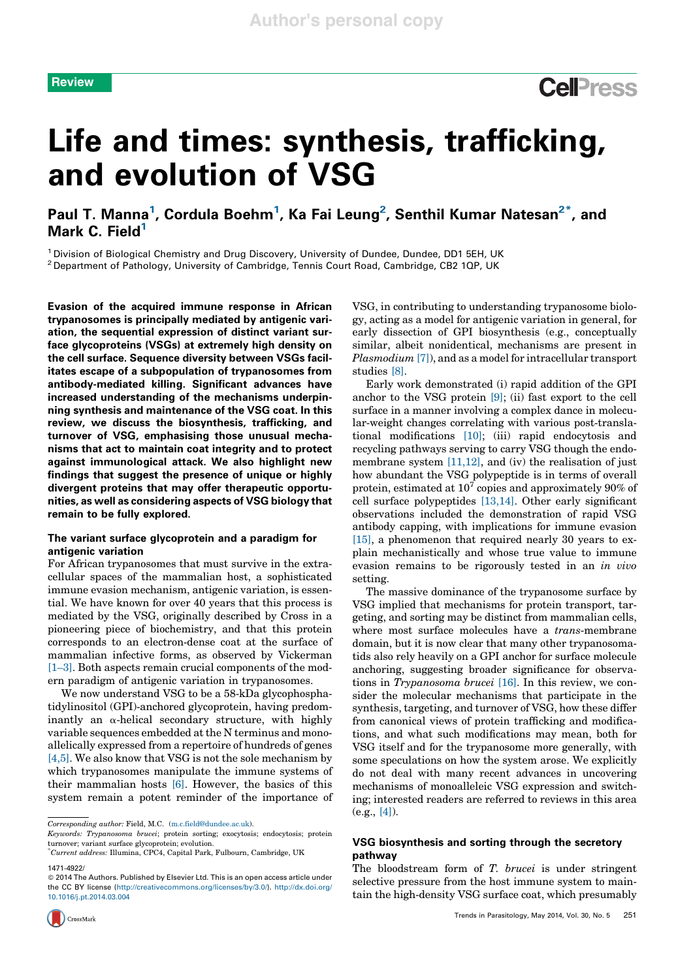# **Review**

# Life and times: synthesis, trafficking, and evolution of VSG

Paul T. Manna<sup>1</sup>, Cordula Boehm<sup>1</sup>, Ka Fai Leung<sup>2</sup>, Senthil Kumar Natesan<sup>2\*</sup>, and Mark C. Field<sup>1</sup>

<sup>1</sup> Division of Biological Chemistry and Drug Discovery, University of Dundee, Dundee, DD1 5EH, UK <sup>2</sup> Department of Pathology, University of Cambridge, Tennis Court Road, Cambridge, CB2 1QP, UK

Evasion of the acquired immune response in African trypanosomes is principally mediated by antigenic variation, the sequential expression of distinct variant surface glycoproteins (VSGs) at extremely high density on the cell surface. Sequence diversity between VSGs facilitates escape of a subpopulation of trypanosomes from antibody-mediated killing. Significant advances have increased understanding of the mechanisms underpinning synthesis and maintenance of the VSG coat. In this review, we discuss the biosynthesis, trafficking, and turnover of VSG, emphasising those unusual mechanisms that act to maintain coat integrity and to protect against immunological attack. We also highlight new findings that suggest the presence of unique or highly divergent proteins that may offer therapeutic opportunities, as well as considering aspects of VSG biology that remain to be fully explored.

# The variant surface glycoprotein and a paradigm for antigenic variation

For African trypanosomes that must survive in the extracellular spaces of the mammalian host, a sophisticated immune evasion mechanism, antigenic variation, is essential. We have known for over 40 years that this process is mediated by the VSG, originally described by Cross in a pioneering piece of biochemistry, and that this protein corresponds to an electron-dense coat at the surface of mammalian infective forms, as observed by Vickerman [1–3]. Both aspects remain crucial components of the modern paradigm of antigenic variation in trypanosomes.

We now understand VSG to be a 58-kDa glycophosphatidylinositol (GPI)-anchored glycoprotein, having predominantly an  $\alpha$ -helical secondary structure, with highly variable sequences embedded atthe N terminus and monoallelically expressed from a repertoire of hundreds of genes [4,5]. We also know that VSG is not the sole mechanism by which trypanosomes manipulate the immune systems of their mammalian hosts [6]. However, the basics of this system remain a potent reminder of the importance of

Keywords: Trypanosoma brucei; protein sorting; exocytosis; endocytosis; protein turnover; variant surface glycoprotein; evolution.

1471-4922/

VSG, in contributing to understanding trypanosome biology, acting as a model for antigenic variation in general, for early dissection of GPI biosynthesis (e.g., conceptually similar, albeit nonidentical, mechanisms are present in Plasmodium [7]), and as a model for intracellular transport studies [8].

Early work demonstrated (i) rapid addition of the GPI anchor to the VSG protein [9]; (ii) fast export to the cell surface in a manner involving a complex dance in molecular-weight changes correlating with various post-translational modifications [10]; (iii) rapid endocytosis and recycling pathways serving to carry VSG though the endomembrane system  $[11,12]$ , and (iv) the realisation of just how abundant the VSG polypeptide is in terms of overall protein, estimated at  $10^7$  copies and approximately  $90\%$  of cell surface polypeptides [13,14]. Other early significant observations included the demonstration of rapid VSG antibody capping, with implications for immune evasion [15], a phenomenon that required nearly 30 years to explain mechanistically and whose true value to immune evasion remains to be rigorously tested in an in vivo setting.

The massive dominance of the trypanosome surface by VSG implied that mechanisms for protein transport, targeting, and sorting may be distinct from mammalian cells, where most surface molecules have a *trans-membrane* domain, but it is now clear that many other trypanosomatids also rely heavily on a GPI anchor for surface molecule anchoring, suggesting broader significance for observations in Trypanosoma brucei [16]. In this review, we consider the molecular mechanisms that participate in the synthesis, targeting, and turnover of VSG, how these differ from canonical views of protein trafficking and modifications, and what such modifications may mean, both for VSG itself and for the trypanosome more generally, with some speculations on how the system arose. We explicitly do not deal with many recent advances in uncovering mechanisms of monoalleleic VSG expression and switching; interested readers are referred to reviews in this area  $(e.g., [4])$ .

# VSG biosynthesis and sorting through the secretory pathway

The bloodstream form of T. brucei is under stringent selective pressure from the host immune system to maintain the high-density VSG surface coat, which presumably

Corresponding author: Field, M.C. (m.c.field@dundee.ac.uk).

<sup>\*</sup> Current address: Illumina, CPC4, Capital Park, Fulbourn, Cambridge, UK

 $© 2014$  The Authors. Published by Elsevier Ltd. This is an open access article under the CC BY license (http://creativecommons.org/licenses/by/3.0/). http://dx.doi.org/ 10.1016/j.pt.2014.03.004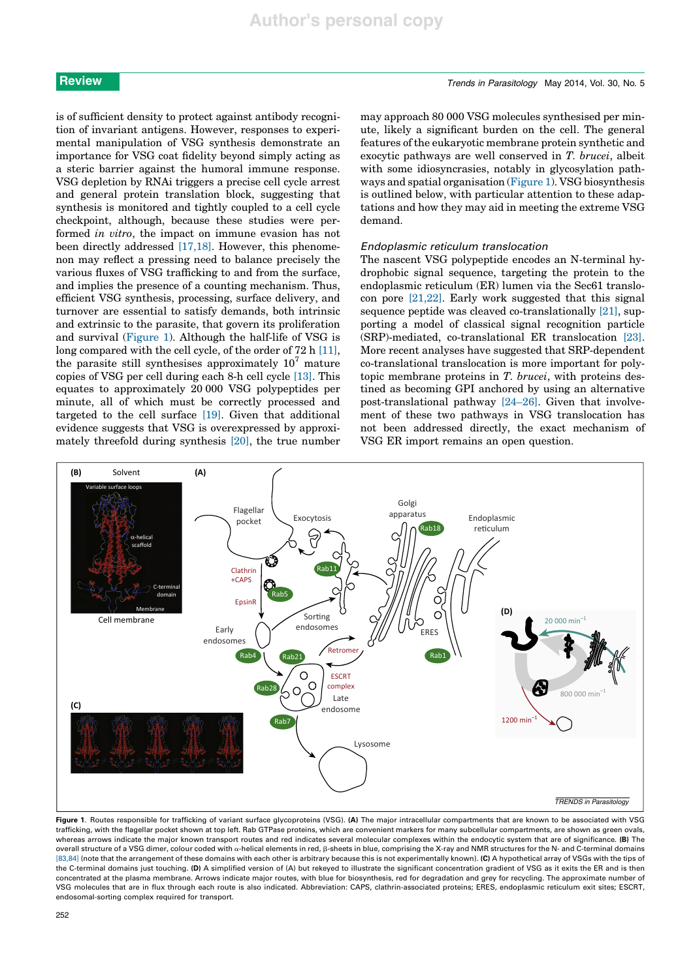is of sufficient density to protect against antibody recognition of invariant antigens. However, responses to experimental manipulation of VSG synthesis demonstrate an importance for VSG coat fidelity beyond simply acting as a steric barrier against the humoral immune response. VSG depletion by RNAi triggers a precise cell cycle arrest and general protein translation block, suggesting that synthesis is monitored and tightly coupled to a cell cycle checkpoint, although, because these studies were performed in vitro, the impact on immune evasion has not been directly addressed [17,18]. However, this phenomenon may reflect a pressing need to balance precisely the various fluxes of VSG trafficking to and from the surface, and implies the presence of a counting mechanism. Thus, efficient VSG synthesis, processing, surface delivery, and turnover are essential to satisfy demands, both intrinsic and extrinsic to the parasite, that govern its proliferation and survival (Figure 1). Although the half-life of VSG is long compared with the cell cycle, of the order of 72 h [11], the parasite still synthesises approximately  $10<sup>7</sup>$  mature copies of VSG per cell during each 8-h cell cycle [13]. This equates to approximately 20 000 VSG polypeptides per minute, all of which must be correctly processed and targeted to the cell surface [19]. Given that additional evidence suggests that VSG is overexpressed by approximately threefold during synthesis [20], the true number

may approach 80 000 VSG molecules synthesised per minute, likely a significant burden on the cell. The general features of the eukaryotic membrane protein synthetic and exocytic pathways are well conserved in T. brucei, albeit with some idiosyncrasies, notably in glycosylation pathways and spatial organisation (Figure 1). VSG biosynthesis is outlined below, with particular attention to these adaptations and how they may aid in meeting the extreme VSG demand.

# Endoplasmic reticulum translocation

The nascent VSG polypeptide encodes an N-terminal hydrophobic signal sequence, targeting the protein to the endoplasmic reticulum (ER) lumen via the Sec61 translocon pore  $[21,22]$ . Early work suggested that this signal sequence peptide was cleaved co-translationally [21], supporting a model of classical signal recognition particle (SRP)-mediated, co-translational ER translocation [23]. More recent analyses have suggested that SRP-dependent co-translational translocation is more important for polytopic membrane proteins in T. brucei, with proteins destined as becoming GPI anchored by using an alternative post-translational pathway [24–26]. Given that involvement of these two pathways in VSG translocation has not been addressed directly, the exact mechanism of VSG ER import remains an open question.



Figure 1. Routes responsible for trafficking of variant surface glycoproteins (VSG). (A) The major intracellular compartments that are known to be associated with VSG trafficking, with the flagellar pocket shown at top left. Rab GTPase proteins, which are convenient markers for many subcellular compartments, are shown as green ovals, whereas arrows indicate the major known transport routes and red indicates several molecular complexes within the endocytic system that are of significance. (B) The overall structure of a VSG dimer, colour coded with  $\alpha$ -helical elements in red, B-sheets in blue, comprising the X-ray and NMR structures for the N- and C-terminal domains [83,84] (note that the arrangement of these domains with each other is arbitrary because this is not experimentally known). (C) A hypothetical array of VSGs with the tips of the C-terminal domains just touching. (D) A simplified version of (A) but rekeyed to illustrate the significant concentration gradient of VSG as it exits the ER and is then concentrated at the plasma membrane. Arrows indicate major routes, with blue for biosynthesis, red for degradation and grey for recycling. The approximate number of VSG molecules that are in flux through each route is also indicated. Abbreviation: CAPS, clathrin-associated proteins; ERES, endoplasmic reticulum exit sites; ESCRT, endosomal-sorting complex required for transport.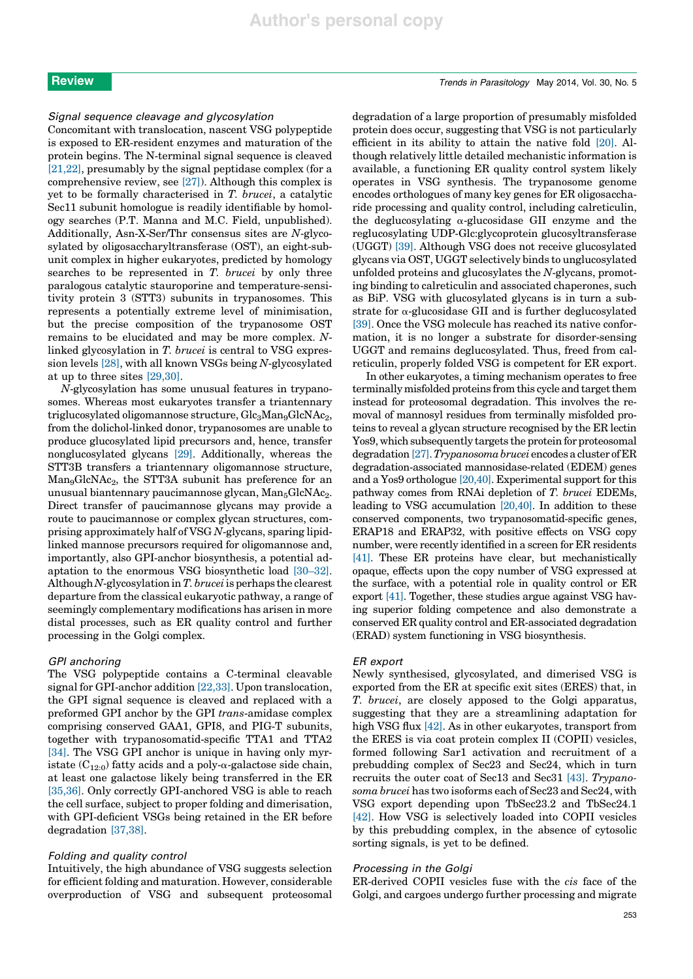Concomitant with translocation, nascent VSG polypeptide is exposed to ER-resident enzymes and maturation of the protein begins. The N-terminal signal sequence is cleaved [21,22], presumably by the signal peptidase complex (for a comprehensive review, see [27]). Although this complex is yet to be formally characterised in T. brucei, a catalytic Sec11 subunit homologue is readily identifiable by homology searches (P.T. Manna and M.C. Field, unpublished). Additionally, Asn-X-Ser/Thr consensus sites are N-glycosylated by oligosaccharyltransferase (OST), an eight-subunit complex in higher eukaryotes, predicted by homology searches to be represented in T. brucei by only three paralogous catalytic stauroporine and temperature-sensitivity protein 3 (STT3) subunits in trypanosomes. This represents a potentially extreme level of minimisation, but the precise composition of the trypanosome OST remains to be elucidated and may be more complex. Nlinked glycosylation in T. brucei is central to VSG expression levels [28], with all known VSGs being N-glycosylated at up to three sites [29,30].

N-glycosylation has some unusual features in trypanosomes. Whereas most eukaryotes transfer a triantennary triglucosylated oligomannose structure, Glc<sub>3</sub>Man<sub>9</sub>GlcNAc<sub>2</sub>, from the dolichol-linked donor, trypanosomes are unable to produce glucosylated lipid precursors and, hence, transfer nonglucosylated glycans [29]. Additionally, whereas the STT3B transfers a triantennary oligomannose structure,  $Man_{9}GlcNAc_{2}$ , the STT3A subunit has preference for an unusual biantennary paucimannose glycan,  $Man_5GlcNAc_2$ . Direct transfer of paucimannose glycans may provide a route to paucimannose or complex glycan structures, comprising approximately half of VSG N-glycans, sparing lipidlinked mannose precursors required for oligomannose and, importantly, also GPI-anchor biosynthesis, a potential adaptation to the enormous VSG biosynthetic load [30–32]. Although  $N$ -glycosylation in  $T$ . brucei is perhaps the clearest departure from the classical eukaryotic pathway, a range of seemingly complementary modifications has arisen in more distal processes, such as ER quality control and further processing in the Golgi complex.

#### GPI anchoring

The VSG polypeptide contains a C-terminal cleavable signal for GPI-anchor addition [22,33]. Upon translocation, the GPI signal sequence is cleaved and replaced with a preformed GPI anchor by the GPI trans-amidase complex comprising conserved GAA1, GPI8, and PIG-T subunits, together with trypanosomatid-specific TTA1 and TTA2 [34]. The VSG GPI anchor is unique in having only myristate  $(C_{12:0})$  fatty acids and a poly- $\alpha$ -galactose side chain, at least one galactose likely being transferred in the ER [35,36]. Only correctly GPI-anchored VSG is able to reach the cell surface, subject to proper folding and dimerisation, with GPI-deficient VSGs being retained in the ER before degradation [37,38].

#### Folding and quality control

Intuitively, the high abundance of VSG suggests selection for efficient folding and maturation. However, considerable overproduction of VSG and subsequent proteosomal degradation of a large proportion of presumably misfolded protein does occur, suggesting that VSG is not particularly efficient in its ability to attain the native fold [20]. Although relatively little detailed mechanistic information is available, a functioning ER quality control system likely operates in VSG synthesis. The trypanosome genome encodes orthologues of many key genes for ER oligosaccharide processing and quality control, including calreticulin, the deglucosylating  $\alpha$ -glucosidase GII enzyme and the reglucosylating UDP-Glc:glycoprotein glucosyltransferase (UGGT) [39]. Although VSG does not receive glucosylated glycans via OST, UGGT selectively binds to unglucosylated unfolded proteins and glucosylates the N-glycans, promoting binding to calreticulin and associated chaperones, such as BiP. VSG with glucosylated glycans is in turn a substrate for  $\alpha$ -glucosidase GII and is further deglucosylated [39]. Once the VSG molecule has reached its native conformation, it is no longer a substrate for disorder-sensing UGGT and remains deglucosylated. Thus, freed from calreticulin, properly folded VSG is competent for ER export.

In other eukaryotes, a timing mechanism operates to free terminally misfolded proteins from this cycle and target them instead for proteosomal degradation. This involves the removal of mannosyl residues from terminally misfolded proteins to reveal a glycan structure recognised by the ER lectin Yos9, which subsequently targets the protein for proteosomal degradation[27].Trypanosomabrucei encodes a cluster of ER degradation-associated mannosidase-related (EDEM) genes and a Yos9 orthologue [20,40]. Experimental support for this pathway comes from RNAi depletion of T. brucei EDEMs, leading to VSG accumulation [20,40]. In addition to these conserved components, two trypanosomatid-specific genes, ERAP18 and ERAP32, with positive effects on VSG copy number, were recently identified in a screen for ER residents [41]. These ER proteins have clear, but mechanistically opaque, effects upon the copy number of VSG expressed at the surface, with a potential role in quality control or ER export [41]. Together, these studies argue against VSG having superior folding competence and also demonstrate a conserved ER quality control and ER-associated degradation (ERAD) system functioning in VSG biosynthesis.

#### ER export

Newly synthesised, glycosylated, and dimerised VSG is exported from the ER at specific exit sites (ERES) that, in T. brucei, are closely apposed to the Golgi apparatus, suggesting that they are a streamlining adaptation for high VSG flux [42]. As in other eukaryotes, transport from the ERES is via coat protein complex II (COPII) vesicles, formed following Sar1 activation and recruitment of a prebudding complex of Sec23 and Sec24, which in turn recruits the outer coat of Sec13 and Sec31 [43]. Trypanosoma brucei has two isoforms each of Sec23 and Sec24, with VSG export depending upon TbSec23.2 and TbSec24.1 [42]. How VSG is selectively loaded into COPII vesicles by this prebudding complex, in the absence of cytosolic sorting signals, is yet to be defined.

### Processing in the Golgi

ER-derived COPII vesicles fuse with the cis face of the Golgi, and cargoes undergo further processing and migrate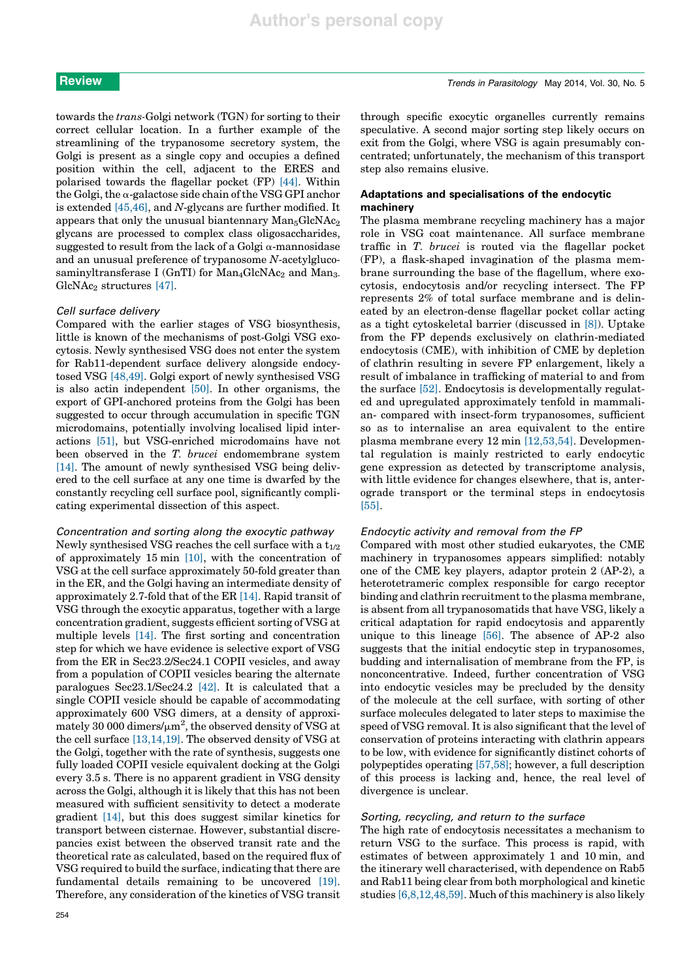towards the trans-Golgi network (TGN) for sorting to their correct cellular location. In a further example of the streamlining of the trypanosome secretory system, the Golgi is present as a single copy and occupies a defined position within the cell, adjacent to the ERES and polarised towards the flagellar pocket (FP) [44]. Within the Golgi, the  $\alpha$ -galactose side chain of the VSG GPI anchor is extended [45,46], and N-glycans are further modified. It appears that only the unusual biantennary  $Man_5GlcNAc_2$ glycans are processed to complex class oligosaccharides, suggested to result from the lack of a Golgi  $\alpha$ -mannosidase and an unusual preference of trypanosome N-acetylglucosaminyltransferase I (GnTI) for  $Man_4GlcNAc_2$  and  $Man_3$ - $GlcNAc<sub>2</sub>$  structures [47].

### Cell surface delivery

Compared with the earlier stages of VSG biosynthesis, little is known of the mechanisms of post-Golgi VSG exocytosis. Newly synthesised VSG does not enter the system for Rab11-dependent surface delivery alongside endocytosed VSG [48,49]. Golgi export of newly synthesised VSG is also actin independent [50]. In other organisms, the export of GPI-anchored proteins from the Golgi has been suggested to occur through accumulation in specific TGN microdomains, potentially involving localised lipid interactions [51], but VSG-enriched microdomains have not been observed in the T. brucei endomembrane system [14]. The amount of newly synthesised VSG being delivered to the cell surface at any one time is dwarfed by the constantly recycling cell surface pool, significantly complicating experimental dissection of this aspect.

# Concentration and sorting along the exocytic pathway

Newly synthesised VSG reaches the cell surface with a  $t_{1/2}$ of approximately 15 min [10], with the concentration of VSG at the cell surface approximately 50-fold greater than in the ER, and the Golgi having an intermediate density of approximately 2.7-fold that of the ER [14]. Rapid transit of VSG through the exocytic apparatus, together with a large concentration gradient, suggests efficient sorting of VSG at multiple levels [14]. The first sorting and concentration step for which we have evidence is selective export of VSG from the ER in Sec23.2/Sec24.1 COPII vesicles, and away from a population of COPII vesicles bearing the alternate paralogues Sec23.1/Sec24.2 [42]. It is calculated that a single COPII vesicle should be capable of accommodating approximately 600 VSG dimers, at a density of approximately 30 000 dimers/ $\mu$ m<sup>2</sup>, the observed density of VSG at the cell surface [13,14,19]. The observed density of VSG at the Golgi, together with the rate of synthesis, suggests one fully loaded COPII vesicle equivalent docking at the Golgi every 3.5 s. There is no apparent gradient in VSG density across the Golgi, although it is likely that this has not been measured with sufficient sensitivity to detect a moderate gradient [14], but this does suggest similar kinetics for transport between cisternae. However, substantial discrepancies exist between the observed transit rate and the theoretical rate as calculated, based on the required flux of VSG required to build the surface, indicating that there are fundamental details remaining to be uncovered [19]. Therefore, any consideration of the kinetics of VSG transit

through specific exocytic organelles currently remains speculative. A second major sorting step likely occurs on exit from the Golgi, where VSG is again presumably concentrated; unfortunately, the mechanism of this transport step also remains elusive.

# Adaptations and specialisations of the endocytic machinery

The plasma membrane recycling machinery has a major role in VSG coat maintenance. All surface membrane traffic in T. brucei is routed via the flagellar pocket (FP), a flask-shaped invagination of the plasma membrane surrounding the base of the flagellum, where exocytosis, endocytosis and/or recycling intersect. The FP represents 2% of total surface membrane and is delineated by an electron-dense flagellar pocket collar acting as a tight cytoskeletal barrier (discussed in [8]). Uptake from the FP depends exclusively on clathrin-mediated endocytosis (CME), with inhibition of CME by depletion of clathrin resulting in severe FP enlargement, likely a result of imbalance in trafficking of material to and from the surface [52]. Endocytosis is developmentally regulated and upregulated approximately tenfold in mammalian- compared with insect-form trypanosomes, sufficient so as to internalise an area equivalent to the entire plasma membrane every 12 min [12,53,54]. Developmental regulation is mainly restricted to early endocytic gene expression as detected by transcriptome analysis, with little evidence for changes elsewhere, that is, anterograde transport or the terminal steps in endocytosis [55].

### Endocytic activity and removal from the FP

Compared with most other studied eukaryotes, the CME machinery in trypanosomes appears simplified: notably one of the CME key players, adaptor protein 2 (AP-2), a heterotetrameric complex responsible for cargo receptor binding and clathrin recruitment to the plasma membrane, is absent from all trypanosomatids that have VSG, likely a critical adaptation for rapid endocytosis and apparently unique to this lineage [56]. The absence of AP-2 also suggests that the initial endocytic step in trypanosomes, budding and internalisation of membrane from the FP, is nonconcentrative. Indeed, further concentration of VSG into endocytic vesicles may be precluded by the density of the molecule at the cell surface, with sorting of other surface molecules delegated to later steps to maximise the speed of VSG removal. It is also significant that the level of conservation of proteins interacting with clathrin appears to be low, with evidence for significantly distinct cohorts of polypeptides operating [57,58]; however, a full description of this process is lacking and, hence, the real level of divergence is unclear.

#### Sorting, recycling, and return to the surface

The high rate of endocytosis necessitates a mechanism to return VSG to the surface. This process is rapid, with estimates of between approximately 1 and 10 min, and the itinerary well characterised, with dependence on Rab5 and Rab11 being clear from both morphological and kinetic studies [6,8,12,48,59]. Much of this machinery is also likely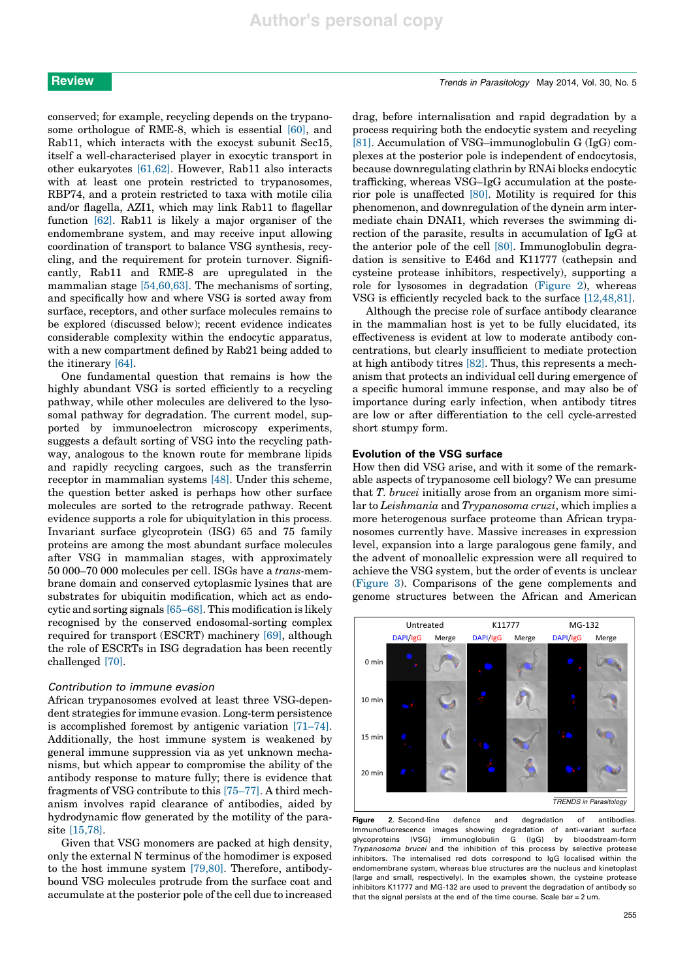conserved; for example, recycling depends on the trypanosome orthologue of RME-8, which is essential [60], and Rab11, which interacts with the exocyst subunit Sec15, itself a well-characterised player in exocytic transport in other eukaryotes [61,62]. However, Rab11 also interacts with at least one protein restricted to trypanosomes, RBP74, and a protein restricted to taxa with motile cilia and/or flagella, AZI1, which may link Rab11 to flagellar function [62]. Rab11 is likely a major organiser of the endomembrane system, and may receive input allowing coordination of transport to balance VSG synthesis, recycling, and the requirement for protein turnover. Significantly, Rab11 and RME-8 are upregulated in the mammalian stage [54,60,63]. The mechanisms of sorting, and specifically how and where VSG is sorted away from surface, receptors, and other surface molecules remains to be explored (discussed below); recent evidence indicates considerable complexity within the endocytic apparatus, with a new compartment defined by Rab21 being added to the itinerary [64].

One fundamental question that remains is how the highly abundant VSG is sorted efficiently to a recycling pathway, while other molecules are delivered to the lysosomal pathway for degradation. The current model, supported by immunoelectron microscopy experiments, suggests a default sorting of VSG into the recycling pathway, analogous to the known route for membrane lipids and rapidly recycling cargoes, such as the transferrin receptor in mammalian systems [48]. Under this scheme, the question better asked is perhaps how other surface molecules are sorted to the retrograde pathway. Recent evidence supports a role for ubiquitylation in this process. Invariant surface glycoprotein (ISG) 65 and 75 family proteins are among the most abundant surface molecules after VSG in mammalian stages, with approximately 50 000–70 000 molecules per cell. ISGs have a trans-membrane domain and conserved cytoplasmic lysines that are substrates for ubiquitin modification, which act as endocytic and sorting signals [65–68]. This modification is likely recognised by the conserved endosomal-sorting complex required for transport (ESCRT) machinery [69], although the role of ESCRTs in ISG degradation has been recently challenged [70].

#### Contribution to immune evasion

African trypanosomes evolved at least three VSG-dependent strategies for immune evasion. Long-term persistence is accomplished foremost by antigenic variation [71–74]. Additionally, the host immune system is weakened by general immune suppression via as yet unknown mechanisms, but which appear to compromise the ability of the antibody response to mature fully; there is evidence that fragments of VSG contribute to this [75–77]. A third mechanism involves rapid clearance of antibodies, aided by hydrodynamic flow generated by the motility of the parasite [15,78].

Given that VSG monomers are packed at high density, only the external N terminus of the homodimer is exposed to the host immune system [79,80]. Therefore, antibodybound VSG molecules protrude from the surface coat and accumulate at the posterior pole of the cell due to increased

drag, before internalisation and rapid degradation by a process requiring both the endocytic system and recycling [81]. Accumulation of VSG–immunoglobulin G (IgG) complexes at the posterior pole is independent of endocytosis, because downregulating clathrin by RNAi blocks endocytic trafficking, whereas VSG–IgG accumulation at the posterior pole is unaffected [80]. Motility is required for this phenomenon, and downregulation of the dynein arm intermediate chain DNAI1, which reverses the swimming direction of the parasite, results in accumulation of IgG at the anterior pole of the cell [80]. Immunoglobulin degradation is sensitive to E46d and K11777 (cathepsin and cysteine protease inhibitors, respectively), supporting a role for lysosomes in degradation (Figure 2), whereas VSG is efficiently recycled back to the surface [12,48,81].

Although the precise role of surface antibody clearance in the mammalian host is yet to be fully elucidated, its effectiveness is evident at low to moderate antibody concentrations, but clearly insufficient to mediate protection at high antibody titres [82]. Thus, this represents a mechanism that protects an individual cell during emergence of a specific humoral immune response, and may also be of importance during early infection, when antibody titres are low or after differentiation to the cell cycle-arrested short stumpy form.

### Evolution of the VSG surface

How then did VSG arise, and with it some of the remarkable aspects of trypanosome cell biology? We can presume that T. brucei initially arose from an organism more similar to Leishmania and Trypanosoma cruzi, which implies a more heterogenous surface proteome than African trypanosomes currently have. Massive increases in expression level, expansion into a large paralogous gene family, and the advent of monoallelic expression were all required to achieve the VSG system, but the order of events is unclear (Figure 3). Comparisons of the gene complements and genome structures between the African and American



Figure 2. Second-line defence and degradation of antibodies. Immunofluorescence images showing degradation of anti-variant surface glycoproteins (VSG) immunoglobulin G (IgG) by bloodstream-form Trypanosoma brucei and the inhibition of this process by selective protease inhibitors. The internalised red dots correspond to IgG localised within the endomembrane system, whereas blue structures are the nucleus and kinetoplast (large and small, respectively). In the examples shown, the cysteine protease inhibitors K11777 and MG-132 are used to prevent the degradation of antibody so that the signal persists at the end of the time course. Scale bar = 2 um.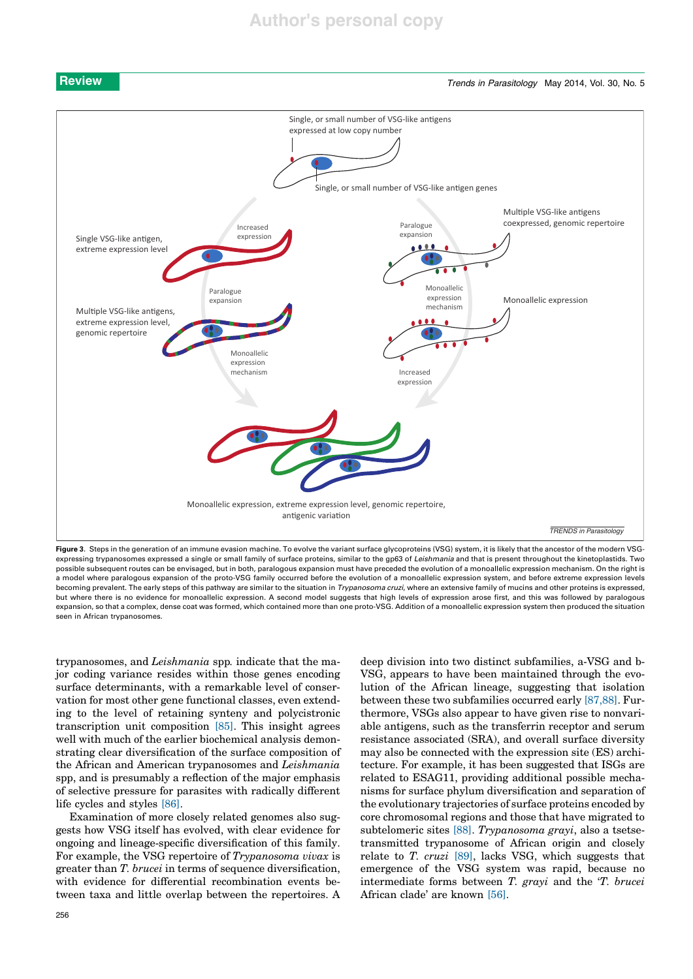

**Review Trends in Parasitology May 2014, Vol. 30, No. 5** 



Figure 3. Steps in the generation of an immune evasion machine. To evolve the variant surface glycoproteins (VSG) system, it is likely that the ancestor of the modern VSGexpressing trypanosomes expressed a single or small family of surface proteins, similar to the gp63 of Leishmania and that is present throughout the kinetoplastids. Two possible subsequent routes can be envisaged, but in both, paralogous expansion must have preceded the evolution of a monoallelic expression mechanism. On the right is a model where paralogous expansion of the proto-VSG family occurred before the evolution of a monoallelic expression system, and before extreme expression levels becoming prevalent. The early steps of this pathway are similar to the situation in *Trypanosoma cruzi*, where an extensive family of mucins and other proteins is expressed, but where there is no evidence for monoallelic expression. A second model suggests that high levels of expression arose first, and this was followed by paralogous expansion, so that a complex, dense coat was formed, which contained more than one proto-VSG. Addition of a monoallelic expression system then produced the situation seen in African trypanosomes.

trypanosomes, and Leishmania spp. indicate that the major coding variance resides within those genes encoding surface determinants, with a remarkable level of conservation for most other gene functional classes, even extending to the level of retaining synteny and polycistronic transcription unit composition [85]. This insight agrees well with much of the earlier biochemical analysis demonstrating clear diversification of the surface composition of the African and American trypanosomes and Leishmania spp, and is presumably a reflection of the major emphasis of selective pressure for parasites with radically different life cycles and styles [86].

Examination of more closely related genomes also suggests how VSG itself has evolved, with clear evidence for ongoing and lineage-specific diversification of this family. For example, the VSG repertoire of Trypanosoma vivax is greater than T. brucei in terms of sequence diversification, with evidence for differential recombination events between taxa and little overlap between the repertoires. A deep division into two distinct subfamilies, a-VSG and b-VSG, appears to have been maintained through the evolution of the African lineage, suggesting that isolation between these two subfamilies occurred early [87,88]. Furthermore, VSGs also appear to have given rise to nonvariable antigens, such as the transferrin receptor and serum resistance associated (SRA), and overall surface diversity may also be connected with the expression site (ES) architecture. For example, it has been suggested that ISGs are related to ESAG11, providing additional possible mechanisms for surface phylum diversification and separation of the evolutionary trajectories of surface proteins encoded by core chromosomal regions and those that have migrated to subtelomeric sites [88]. Trypanosoma grayi, also a tsetsetransmitted trypanosome of African origin and closely relate to T. cruzi [89], lacks VSG, which suggests that emergence of the VSG system was rapid, because no intermediate forms between T. grayi and the 'T. brucei African clade' are known [56].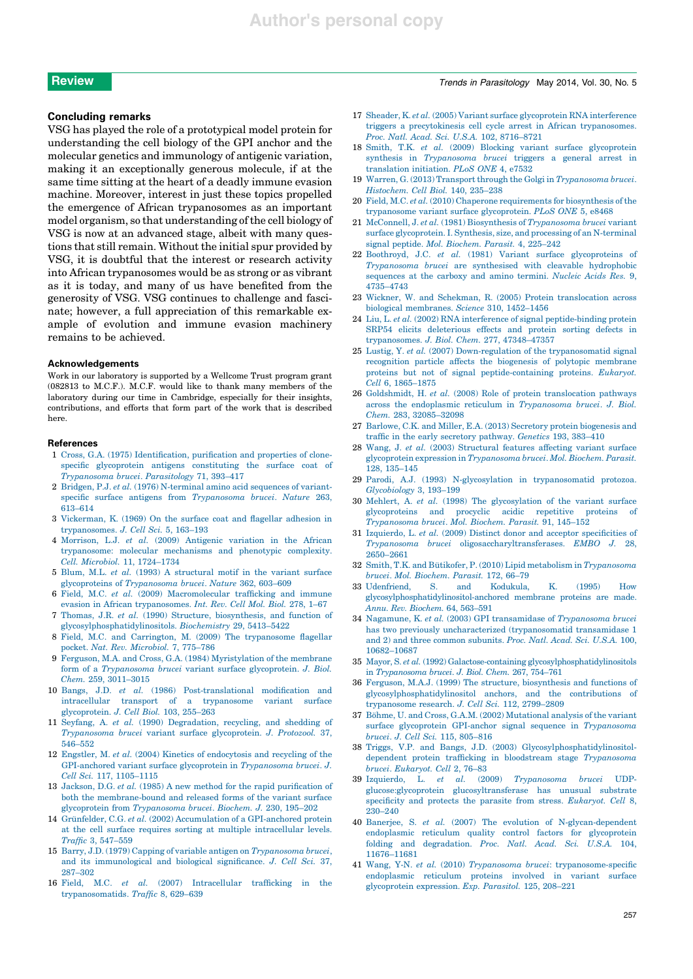#### Concluding remarks

VSG has played the role of a prototypical model protein for understanding the cell biology of the GPI anchor and the molecular genetics and immunology of antigenic variation, making it an exceptionally generous molecule, if at the same time sitting at the heart of a deadly immune evasion machine. Moreover, interest in just these topics propelled the emergence of African trypanosomes as an important model organism, so that understanding of the cell biology of VSG is now at an advanced stage, albeit with many questions that still remain. Without the initial spur provided by VSG, it is doubtful that the interest or research activity into African trypanosomes would be as strong or as vibrant as it is today, and many of us have benefited from the generosity of VSG. VSG continues to challenge and fascinate; however, a full appreciation of this remarkable example of evolution and immune evasion machinery remains to be achieved.

#### Acknowledgements

Work in our laboratory is supported by a Wellcome Trust program grant (082813 to M.C.F.). M.C.F. would like to thank many members of the laboratory during our time in Cambridge, especially for their insights, contributions, and efforts that form part of the work that is described here.

### References

- 1 Cross, G.A. (1975) Identification, purification and properties of clonespecific glycoprotein antigens constituting the surface coat of Trypanosoma brucei. Parasitology 71, 393–417
- 2 Bridgen, P.J. et al. (1976) N-terminal amino acid sequences of variantspecific surface antigens from Trypanosoma brucei. Nature 263, 613–614
- 3 Vickerman, K. (1969) On the surface coat and flagellar adhesion in trypanosomes. J. Cell Sci. 5, 163–193
- 4 Morrison, L.J. et al. (2009) Antigenic variation in the African trypanosome: molecular mechanisms and phenotypic complexity. Cell. Microbiol. 11, 1724–1734
- 5 Blum, M.L. et al. (1993) A structural motif in the variant surface glycoproteins of Trypanosoma brucei. Nature 362, 603–609
- 6 Field, M.C. et al. (2009) Macromolecular trafficking and immune evasion in African trypanosomes. Int. Rev. Cell Mol. Biol. 278, 1–67
- 7 Thomas, J.R. et al. (1990) Structure, biosynthesis, and function of glycosylphosphatidylinositols. Biochemistry 29, 5413–5422
- 8 Field, M.C. and Carrington, M. (2009) The trypanosome flagellar pocket. Nat. Rev. Microbiol. 7, 775–786
- 9 Ferguson, M.A. and Cross, G.A. (1984) Myristylation of the membrane form of a Trypanosoma brucei variant surface glycoprotein. J. Biol. Chem. 259, 3011–3015
- 10 Bangs, J.D. et al. (1986) Post-translational modification and intracellular transport of a trypanosome variant surface glycoprotein. J. Cell Biol. 103, 255–263
- 11 Seyfang, A. et al. (1990) Degradation, recycling, and shedding of Trypanosoma brucei variant surface glycoprotein. J. Protozool. 37, 546–552
- 12 Engstler, M. et al. (2004) Kinetics of endocytosis and recycling of the GPI-anchored variant surface glycoprotein in Trypanosoma brucei. J. Cell Sci. 117, 1105–1115
- 13 Jackson, D.G. et al. (1985) A new method for the rapid purification of both the membrane-bound and released forms of the variant surface glycoprotein from Trypanosoma brucei. Biochem. J. 230, 195–202
- 14 Grünfelder, C.G. et al. (2002) Accumulation of a GPI-anchored protein at the cell surface requires sorting at multiple intracellular levels. Traffic 3, 547–559
- 15 Barry, J.D. (1979) Capping of variable antigen on Trypanosoma brucei, and its immunological and biological significance. J. Cell Sci. 37, 287–302
- 16 Field, M.C. et al. (2007) Intracellular trafficking in the trypanosomatids. Traffic 8, 629–639

# **Review Trends in Parasitology May 2014, Vol. 30, No. 5** No. 5

- 17 Sheader, K. et al. (2005) Variant surface glycoprotein RNA interference triggers a precytokinesis cell cycle arrest in African trypanosomes. Proc. Natl. Acad. Sci. U.S.A. 102, 8716–8721
- 18 Smith, T.K. et al. (2009) Blocking variant surface glycoprotein synthesis in Trypanosoma brucei triggers a general arrest in translation initiation. PLoS ONE 4, e7532
- 19 Warren, G. (2013) Transport through the Golgi in Trypanosoma brucei. Histochem. Cell Biol. 140, 235–238
- 20 Field, M.C. et al. (2010) Chaperone requirements for biosynthesis of the trypanosome variant surface glycoprotein. PLoS ONE 5, e8468
- 21 McConnell, J. et al. (1981) Biosynthesis of Trypanosoma brucei variant surface glycoprotein. I. Synthesis, size, and processing of an N-terminal signal peptide. Mol. Biochem. Parasit. 4, 225–242
- 22 Boothroyd, J.C. et al. (1981) Variant surface glycoproteins of Trypanosoma brucei are synthesised with cleavable hydrophobic sequences at the carboxy and amino termini. Nucleic Acids Res. 9, 4735–4743
- 23 Wickner, W. and Schekman, R. (2005) Protein translocation across biological membranes. Science 310, 1452–1456
- 24 Liu, L. et al. (2002) RNA interference of signal peptide-binding protein SRP54 elicits deleterious effects and protein sorting defects in trypanosomes. J. Biol. Chem. 277, 47348–47357
- 25 Lustig, Y. et al. (2007) Down-regulation of the trypanosomatid signal recognition particle affects the biogenesis of polytopic membrane proteins but not of signal peptide-containing proteins. Eukaryot. Cell 6, 1865–1875
- 26 Goldshmidt, H. et al. (2008) Role of protein translocation pathways across the endoplasmic reticulum in Trypanosoma brucei. J. Biol. Chem. 283, 32085–32098
- 27 Barlowe, C.K. and Miller, E.A. (2013) Secretory protein biogenesis and traffic in the early secretory pathway. Genetics 193, 383–410
- 28 Wang, J. et al. (2003) Structural features affecting variant surface glycoprotein expression in Trypanosoma brucei. Mol. Biochem. Parasit. 128, 135–145
- 29 Parodi, A.J. (1993) N-glycosylation in trypanosomatid protozoa. Glycobiology 3, 193–199
- 30 Mehlert, A. et al. (1998) The glycosylation of the variant surface glycoproteins and procyclic acidic repetitive proteins Trypanosoma brucei. Mol. Biochem. Parasit. 91, 145–152
- 31 Izquierdo, L. et al. (2009) Distinct donor and acceptor specificities of Trypanosoma brucei oligosaccharyltransferases. EMBO J. 28, 2650–2661
- 32 Smith, T.K. and Bütikofer, P. (2010) Lipid metabolism in Trypanosoma brucei. Mol. Biochem. Parasit. 172, 66–79
- 33 Udenfriend, S. and Kodukula, K. (1995) How glycosylphosphatidylinositol-anchored membrane proteins are made. Annu. Rev. Biochem. 64, 563–591
- 34 Nagamune, K. et al. (2003) GPI transamidase of Trypanosoma brucei has two previously uncharacterized (trypanosomatid transamidase 1 and 2) and three common subunits. Proc. Natl. Acad. Sci. U.S.A. 100, 10682–10687
- 35 Mayor, S. et al. (1992) Galactose-containing glycosylphosphatidylinositols in Trypanosoma brucei. J. Biol. Chem. 267, 754–761
- 36 Ferguson, M.A.J. (1999) The structure, biosynthesis and functions of glycosylphosphatidylinositol anchors, and the contributions of trypanosome research. J. Cell Sci. 112, 2799–2809
- 37 Böhme, U. and Cross, G.A.M. (2002) Mutational analysis of the variant surface glycoprotein GPI-anchor signal sequence in Trypanosoma brucei. J. Cell Sci. 115, 805–816
- 38 Triggs, V.P. and Bangs, J.D. (2003) Glycosylphosphatidylinositoldependent protein trafficking in bloodstream stage Trypanosoma brucei. Eukaryot. Cell 2, 76–83
- 39 Izquierdo, L. et al. (2009) Trypanosoma brucei UDPglucose:glycoprotein glucosyltransferase has unusual substrate specificity and protects the parasite from stress. Eukaryot. Cell 8, 230–240
- 40 Banerjee, S. et al. (2007) The evolution of N-glycan-dependent endoplasmic reticulum quality control factors for glycoprotein folding and degradation. Proc. Natl. Acad. Sci. U.S.A. 104, 11676–11681
- 41 Wang, Y-N. et al. (2010) Trypanosoma brucei: trypanosome-specific endoplasmic reticulum proteins involved in variant surface glycoprotein expression. Exp. Parasitol. 125, 208–221